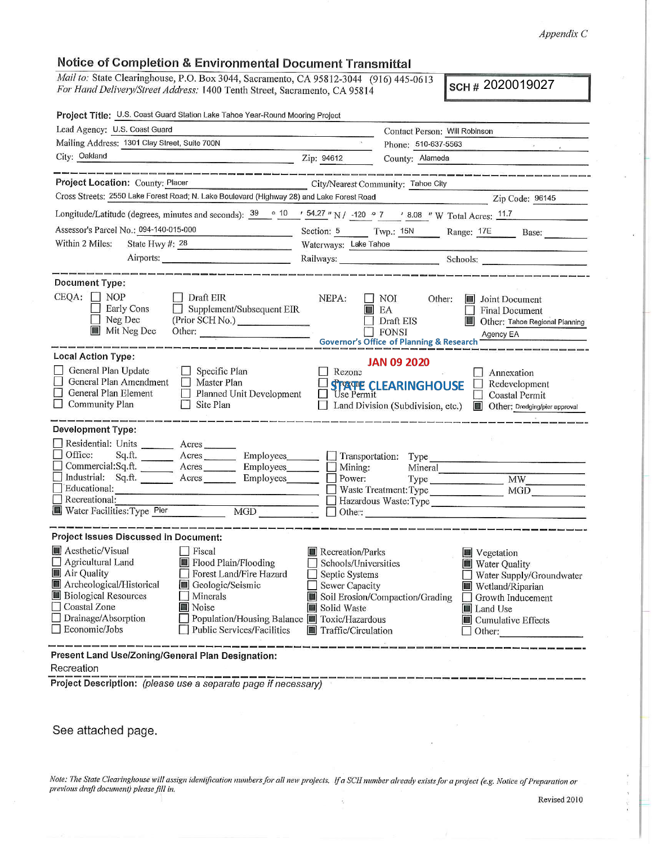#### *Appendix C*

# **Notice of Completion** & **Environmental Document Transmittal**

*Mail to:* State Clearinghouse, P.O. Box 3044, Sacramento, CA 95812-3044 (916) 445-0613 *For Hand Delivery/Street Address:* 1400 Tenth Street, Sacramento, CA 95814

SCH # 2020019027

| Project Title: U.S. Coast Guard Station Lake Tahoe Year-Round Mooring Project                                                                                                                                                                                                                                          |                                                                                                                                                                |                                                                                                                    |                                                                                                                    |                                                                                                                                                                    |  |
|------------------------------------------------------------------------------------------------------------------------------------------------------------------------------------------------------------------------------------------------------------------------------------------------------------------------|----------------------------------------------------------------------------------------------------------------------------------------------------------------|--------------------------------------------------------------------------------------------------------------------|--------------------------------------------------------------------------------------------------------------------|--------------------------------------------------------------------------------------------------------------------------------------------------------------------|--|
| Lead Agency: U.S. Coast Guard                                                                                                                                                                                                                                                                                          |                                                                                                                                                                | Contact Person: Will Robinson                                                                                      |                                                                                                                    |                                                                                                                                                                    |  |
| Mailing Address: 1301 Clay Street, Suite 700N                                                                                                                                                                                                                                                                          |                                                                                                                                                                | Phone: 510-637-5563                                                                                                |                                                                                                                    | $\mathcal{L}(\mathcal{E}) = \{ \mathcal{E}(\mathcal{E}) \mid \mathcal{E}(\mathcal{E}) \leq \mathcal{E}(\mathcal{E}) \}$                                            |  |
| City: Oakland                                                                                                                                                                                                                                                                                                          |                                                                                                                                                                | Zip: 94612                                                                                                         | County: Alameda                                                                                                    |                                                                                                                                                                    |  |
|                                                                                                                                                                                                                                                                                                                        |                                                                                                                                                                |                                                                                                                    |                                                                                                                    |                                                                                                                                                                    |  |
| Project Location: County: Placer<br>City/Nearest Community: Tahoe City                                                                                                                                                                                                                                                 |                                                                                                                                                                |                                                                                                                    |                                                                                                                    |                                                                                                                                                                    |  |
| Cross Streets: 2550 Lake Forest Road; N. Lake Boulevard (Highway 28) and Lake Forest Road<br>Zip Code: 96145                                                                                                                                                                                                           |                                                                                                                                                                |                                                                                                                    |                                                                                                                    |                                                                                                                                                                    |  |
| Longitude/Latitude (degrees, minutes and seconds): $\frac{39}{10}$ $\frac{10}{10}$ $\frac{154.27}{10}$ N / $\frac{-120}{10}$ $\frac{9}{7}$ $\frac{7}{10}$ $\frac{8.08}{10}$ W Total Acres: $\frac{11.7}{10}$                                                                                                           |                                                                                                                                                                |                                                                                                                    |                                                                                                                    |                                                                                                                                                                    |  |
| Assessor's Parcel No.: 094-140-015-000<br><u> The Common State of the Common State of the Common State of the Common State of the Common State of the Common State of the Common State of the Common State of the Common State of the Common State of the Common State of </u>                                         |                                                                                                                                                                |                                                                                                                    |                                                                                                                    | Section: 5 Twp.: 15N Range: 17E Base:                                                                                                                              |  |
| Within 2 Miles:<br>State Hwy #: 28                                                                                                                                                                                                                                                                                     |                                                                                                                                                                | Waterways: Lake Tahoe                                                                                              |                                                                                                                    |                                                                                                                                                                    |  |
|                                                                                                                                                                                                                                                                                                                        |                                                                                                                                                                |                                                                                                                    |                                                                                                                    |                                                                                                                                                                    |  |
| Railways: Schools: Schools:                                                                                                                                                                                                                                                                                            |                                                                                                                                                                |                                                                                                                    |                                                                                                                    |                                                                                                                                                                    |  |
| Document Type:<br>$CEQA: \Box NP$<br>Early Cons<br>Neg Dec<br><b>Mit Neg Dec</b>                                                                                                                                                                                                                                       | $\Box$ Draft EIR<br>Supplement/Subsequent EIR<br>(Prior SCH No.)<br>Other:                                                                                     | NEPA:                                                                                                              | $\Box$ NOI<br>Other:<br>$\blacksquare$ EA<br>Draft EIS<br><b>FONSI</b><br>Governor's Office of Planning & Research | <b>Joint Document</b><br><b>Final Document</b><br>Other: Tahoe Regional Planning<br>Agency EA                                                                      |  |
| <b>Local Action Type:</b><br><b>JAN 09 2020</b>                                                                                                                                                                                                                                                                        |                                                                                                                                                                |                                                                                                                    |                                                                                                                    |                                                                                                                                                                    |  |
| General Plan Update<br>General Plan Amendment   Master Plan<br>General Plan Element<br><b>Community Plan</b>                                                                                                                                                                                                           | $\Box$ Specific Plan<br>Planned Unit Development<br>$\Box$ Site Plan                                                                                           | Rezone                                                                                                             | STATE CLEARINGHOUSE                                                                                                | Annexation<br>Redevelopment<br>$\Box$<br><b>Coastal Permit</b><br>Land Division (Subdivision, etc.) <b>Connect Contrary Division</b> Other: Dredging/pler approval |  |
| <b>Development Type:</b>                                                                                                                                                                                                                                                                                               |                                                                                                                                                                |                                                                                                                    |                                                                                                                    |                                                                                                                                                                    |  |
| Residential: Units ________ Acres _______<br>Office:<br>Educational:<br>Recreational:<br>Recreational:<br>Water Facilities: Type Pier MGD   MGD   Dther: Note: Type   Nature Theories: Type   Nature Theories: Type   NGD   NGD   NGD   NATURE   NATURE   NATURE   NATURE   NATURE   NATURE   NATURE   NATURE   NATURE | Sq.ft. Acres Employees Transportation: Type<br>Commercial:Sq.ft. _______ Acres _______ Employees_______ _<br>Industrial: Sq.ft. Acres Employees Dower: Type MW | Mining:                                                                                                            |                                                                                                                    | Mineral<br>Waste Treatment: Type MGD<br>Hazardous Waste: Type                                                                                                      |  |
| <b>Project Issues Discussed in Document:</b>                                                                                                                                                                                                                                                                           |                                                                                                                                                                |                                                                                                                    |                                                                                                                    |                                                                                                                                                                    |  |
| Aesthetic/Visual<br>Agricultural Land III Flood Plain/Flooding<br>Air Quality<br>Archeological/Historical <b>Geologic/Seismic</b><br><b>Biological Resources</b><br>$\Box$ Coastal Zone<br>Drainage/Absorption<br>$\Box$ Economic/Jobs                                                                                 | Fiscal<br>Forest Land/Fire Hazard<br>Minerals<br>Noise<br>Population/Housing Balance Toxic/Hazardous<br>Public Services/Facilities                             | Recreation/Parks<br>Schools/Universities<br>Septic Systems<br>Sewer Capacity<br>Solid Waste<br>Traffic/Circulation | Soil Erosion/Compaction/Grading                                                                                    | Vegetation<br><b>Water Quality</b><br>Water Supply/Groundwater<br>Wetland/Riparian<br>Growth Inducement<br>Land Use<br>$\blacksquare$ Cumulative Effects<br>Other: |  |
| Present Land Use/Zoning/General Plan Designation:<br>Recreation                                                                                                                                                                                                                                                        |                                                                                                                                                                |                                                                                                                    |                                                                                                                    |                                                                                                                                                                    |  |

**Project Description:** (please use a separate page if necessary)

See attached page.

*Note: The State Clearinghouse will assign identification numbers for all new projects. If a SCH number already exists for a project (e.g. Notice of Preparation or previous draft document) please fill in.*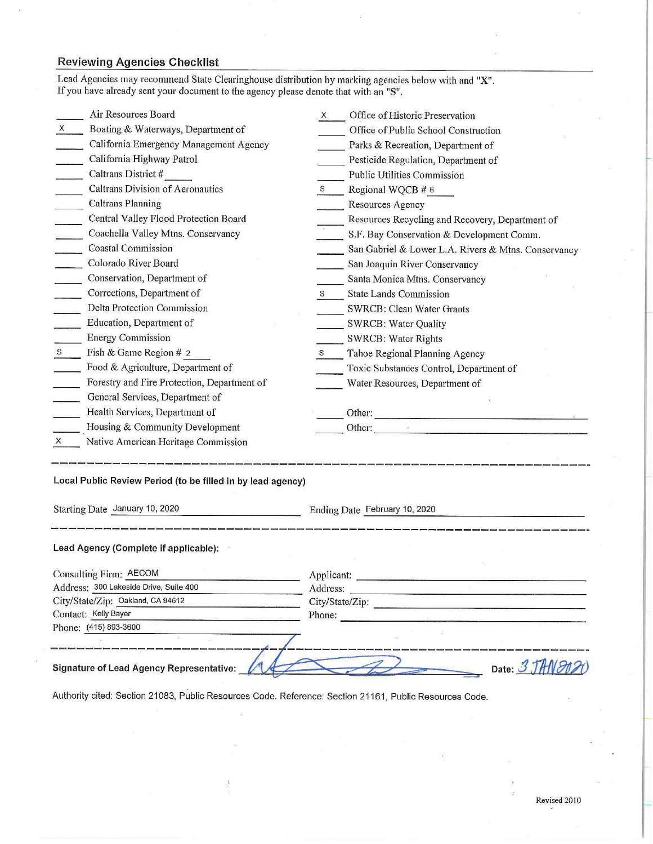# **Reviewing Agencies Checklist**

| Lead Agencies may recommend State Clearinghouse distribution by marking agencies below with and "X".<br>If you have already sent your document to the agency please denote that with an "S". |                                                                                                                                                                                                                               |  |  |
|----------------------------------------------------------------------------------------------------------------------------------------------------------------------------------------------|-------------------------------------------------------------------------------------------------------------------------------------------------------------------------------------------------------------------------------|--|--|
| Air Resources Board                                                                                                                                                                          | Office of Historic Preservation<br>X <sub>1</sub>                                                                                                                                                                             |  |  |
| Boating & Waterways, Department of<br>X                                                                                                                                                      | Office of Public School Construction                                                                                                                                                                                          |  |  |
| California Emergency Management Agency                                                                                                                                                       | Parks & Recreation, Department of                                                                                                                                                                                             |  |  |
| California Highway Patrol                                                                                                                                                                    | Pesticide Regulation, Department of                                                                                                                                                                                           |  |  |
| Caltrans District #                                                                                                                                                                          | Public Utilities Commission                                                                                                                                                                                                   |  |  |
| Caltrans Division of Aeronautics                                                                                                                                                             | Regional WQCB # 6                                                                                                                                                                                                             |  |  |
| <b>Caltrans Planning</b>                                                                                                                                                                     | Resources Agency                                                                                                                                                                                                              |  |  |
| Central Valley Flood Protection Board                                                                                                                                                        | Resources Recycling and Recovery, Department of                                                                                                                                                                               |  |  |
| Coachella Valley Mtns. Conservancy                                                                                                                                                           | S.F. Bay Conservation & Development Comm.                                                                                                                                                                                     |  |  |
| <b>Coastal Commission</b>                                                                                                                                                                    | San Gabriel & Lower L.A. Rivers & Mtns. Conservancy                                                                                                                                                                           |  |  |
| Colorado River Board                                                                                                                                                                         | San Joaquin River Conservancy                                                                                                                                                                                                 |  |  |
| Conservation, Department of                                                                                                                                                                  | Santa Monica Mtns. Conservancy                                                                                                                                                                                                |  |  |
| Corrections, Department of                                                                                                                                                                   | <b>State Lands Commission</b><br>S                                                                                                                                                                                            |  |  |
| Delta Protection Commission                                                                                                                                                                  | <b>SWRCB: Clean Water Grants</b>                                                                                                                                                                                              |  |  |
| Education, Department of                                                                                                                                                                     | <b>SWRCB: Water Quality</b>                                                                                                                                                                                                   |  |  |
| <b>Energy Commission</b>                                                                                                                                                                     | <b>SWRCB: Water Rights</b>                                                                                                                                                                                                    |  |  |
| Fish & Game Region # 2<br>S <sub>3</sub>                                                                                                                                                     | Tahoe Regional Planning Agency                                                                                                                                                                                                |  |  |
| Food & Agriculture, Department of                                                                                                                                                            | Toxic Substances Control, Department of                                                                                                                                                                                       |  |  |
| Forestry and Fire Protection, Department of                                                                                                                                                  | Water Resources, Department of                                                                                                                                                                                                |  |  |
| General Services, Department of                                                                                                                                                              |                                                                                                                                                                                                                               |  |  |
| Health Services, Department of                                                                                                                                                               |                                                                                                                                                                                                                               |  |  |
| Housing & Community Development                                                                                                                                                              | Other:                                                                                                                                                                                                                        |  |  |
| Native American Heritage Commission<br>X                                                                                                                                                     |                                                                                                                                                                                                                               |  |  |
| Local Public Review Period (to be filled in by lead agency)<br>Starting Date January 10, 2020                                                                                                | Ending Date February 10, 2020                                                                                                                                                                                                 |  |  |
| Lead Agency (Complete if applicable):                                                                                                                                                        |                                                                                                                                                                                                                               |  |  |
| Consulting Firm: AECOM                                                                                                                                                                       | Applicant:                                                                                                                                                                                                                    |  |  |
| Address: 300 Lakeside Drive, Suite 400                                                                                                                                                       | Address:                                                                                                                                                                                                                      |  |  |
| City/State/Zip: Oakland, CA 94612                                                                                                                                                            | City/State/Zip: experience of the control of the control of the control of the control of the control of the control of the control of the control of the control of the control of the control of the control of the control |  |  |
| Contact: Kelly Bayer                                                                                                                                                                         | Phone:                                                                                                                                                                                                                        |  |  |
| Phone: (415) 893-3600                                                                                                                                                                        |                                                                                                                                                                                                                               |  |  |
|                                                                                                                                                                                              |                                                                                                                                                                                                                               |  |  |
| <b>Signature of Lead Agency Representative:</b>                                                                                                                                              | Date: 3 JAN 202                                                                                                                                                                                                               |  |  |

Authority cited: Section 21083, Public Resources Code. Reference: Section 21161, Public Resources Code.